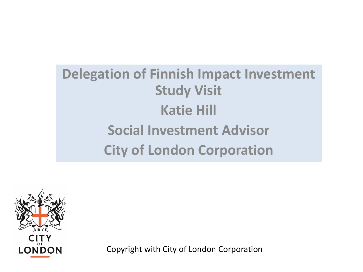### **Delegation of Finnish Impact Investment Study Visit Katie Hill Social Investment Advisor City of London Corporation**



Copyright with City of London Corporation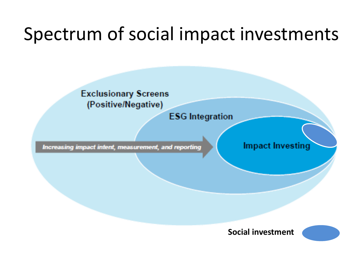# Spectrum of social impact investments



**ESG** Integration

Increasing impact intent, measurement, and reporting

**Impact Investing** 



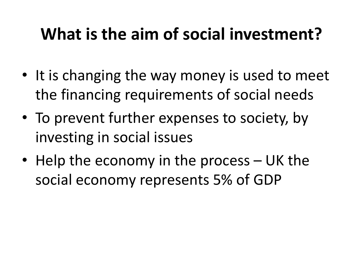# **What is the aim of social investment?**

- It is changing the way money is used to meet the financing requirements of social needs
- To prevent further expenses to society, by investing in social issues
- Help the economy in the process UK the social economy represents 5% of GDP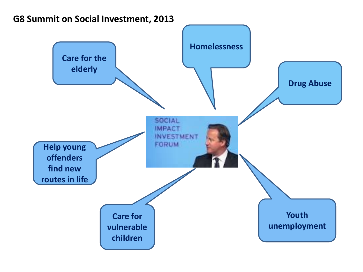

#### **G8 Summit on Social Investment, 2013**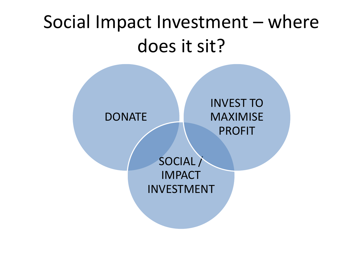# Social Impact Investment – where does it sit?

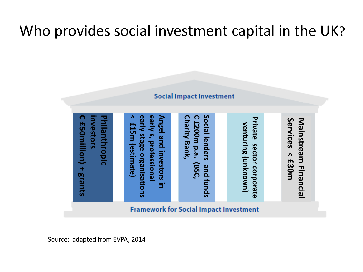### Who provides social investment capital in the UK?

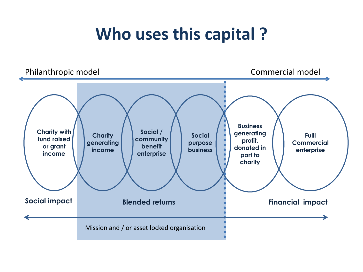## **Who uses this capital ?**

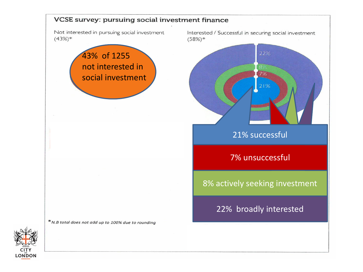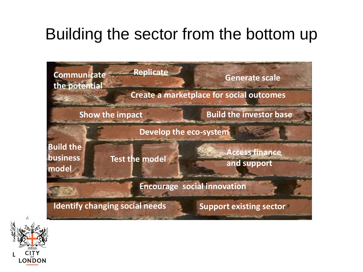### Building the sector from the bottom up



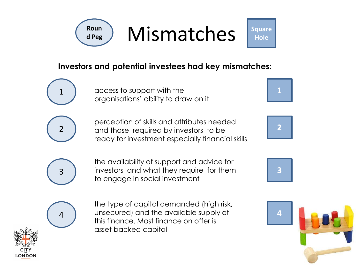

Mismatches

**Square Hole**

#### **Investors and potential investees had key mismatches:**

access to support with the organisations' ability to draw on it

2

1

perception of skills and attributes needed and those required by investors to be ready for investment especially financial skills





**3**



the availability of support and advice for investors and what they require for them to engage in social investment



the type of capital demanded (high risk, unsecured) and the available supply of this finance. Most finance on offer is asset backed capital

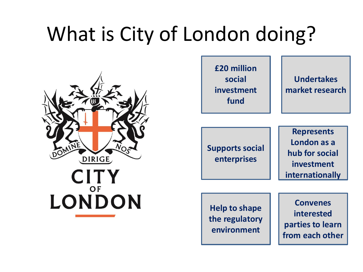# What is City of London doing?



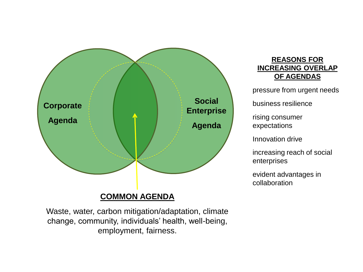

#### **COMMON AGENDA**

Waste, water, carbon mitigation/adaptation, climate change, community, individuals' health, well-being, employment, fairness.

#### **REASONS FOR INCREASING OVERLAP OF AGENDAS**

pressure from urgent needs

business resilience

rising consumer expectations

Innovation drive

increasing reach of social enterprises

evident advantages in collaboration